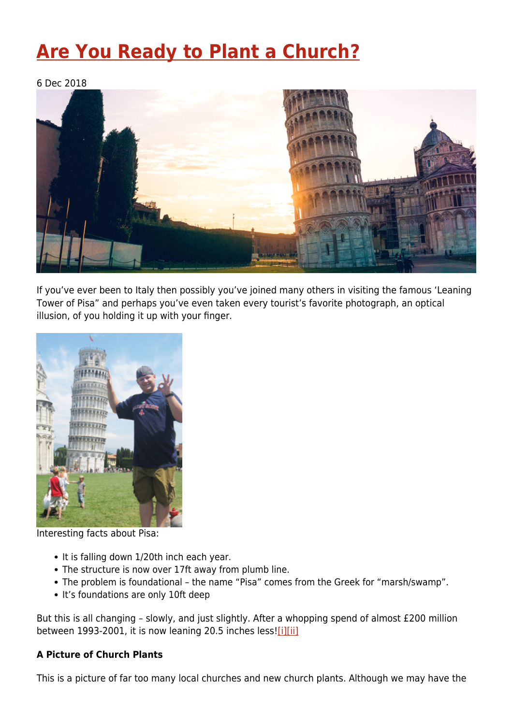# **[Are You Ready to Plant a Church?](https://four12global.com/articles/are-you-ready-to-plant-a-church/)**

6 Dec 2018



If you've ever been to Italy then possibly you've joined many others in visiting the famous 'Leaning Tower of Pisa" and perhaps you've even taken every tourist's favorite photograph, an optical illusion, of you holding it up with your finger.



Interesting facts about Pisa:

- It is falling down 1/20th inch each year.
- The structure is now over 17ft away from plumb line.
- The problem is foundational the name "Pisa" comes from the Greek for "marsh/swamp".
- It's foundations are only 10ft deep

<span id="page-0-0"></span>But this is all changing – slowly, and just slightly. After a whopping spend of almost £200 million between 1993-2001, it is now leaning 20.5 inches less[!\[i\]](#page-3-0)[\[ii\]](#page-3-1)

#### **A Picture of Church Plants**

This is a picture of far too many local churches and new church plants. Although we may have the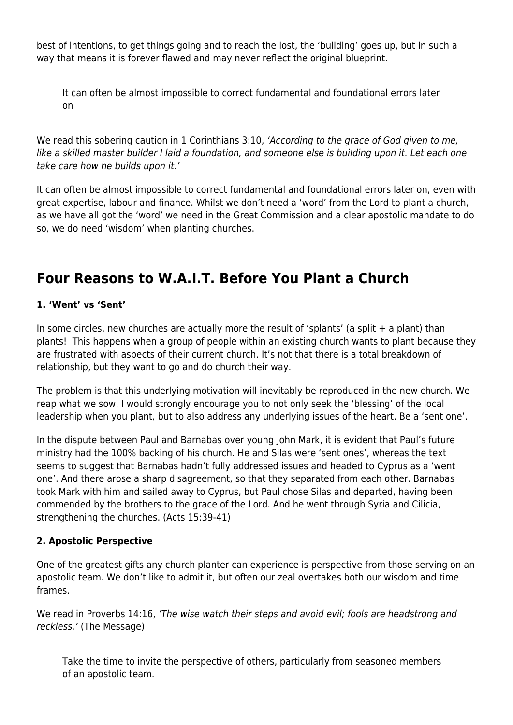best of intentions, to get things going and to reach the lost, the 'building' goes up, but in such a way that means it is forever flawed and may never reflect the original blueprint.

It can often be almost impossible to correct fundamental and foundational errors later on

We read this sobering caution in 1 Corinthians 3:10, 'According to the grace of God given to me, like a skilled master builder I laid a foundation, and someone else is building upon it. Let each one take care how he builds upon it.'

It can often be almost impossible to correct fundamental and foundational errors later on, even with great expertise, labour and finance. Whilst we don't need a 'word' from the Lord to plant a church, as we have all got the 'word' we need in the Great Commission and a clear apostolic mandate to do so, we do need 'wisdom' when planting churches.

## **Four Reasons to W.A.I.T. Before You Plant a Church**

### **1. 'Went' vs 'Sent'**

In some circles, new churches are actually more the result of 'splants' (a split + a plant) than plants! This happens when a group of people within an existing church wants to plant because they are frustrated with aspects of their current church. It's not that there is a total breakdown of relationship, but they want to go and do church their way.

The problem is that this underlying motivation will inevitably be reproduced in the new church. We reap what we sow. I would strongly encourage you to not only seek the 'blessing' of the local leadership when you plant, but to also address any underlying issues of the heart. Be a 'sent one'.

In the dispute between Paul and Barnabas over young John Mark, it is evident that Paul's future ministry had the 100% backing of his church. He and Silas were 'sent ones', whereas the text seems to suggest that Barnabas hadn't fully addressed issues and headed to Cyprus as a 'went one'. And there arose a sharp disagreement, so that they separated from each other. Barnabas took Mark with him and sailed away to Cyprus, but Paul chose Silas and departed, having been commended by the brothers to the grace of the Lord. And he went through Syria and Cilicia, strengthening the churches. (Acts 15:39-41)

#### **2. Apostolic Perspective**

One of the greatest gifts any church planter can experience is perspective from those serving on an apostolic team. We don't like to admit it, but often our zeal overtakes both our wisdom and time frames.

We read in Proverbs 14:16, 'The wise watch their steps and avoid evil; fools are headstrong and reckless.' (The Message)

Take the time to invite the perspective of others, particularly from seasoned members of an apostolic team.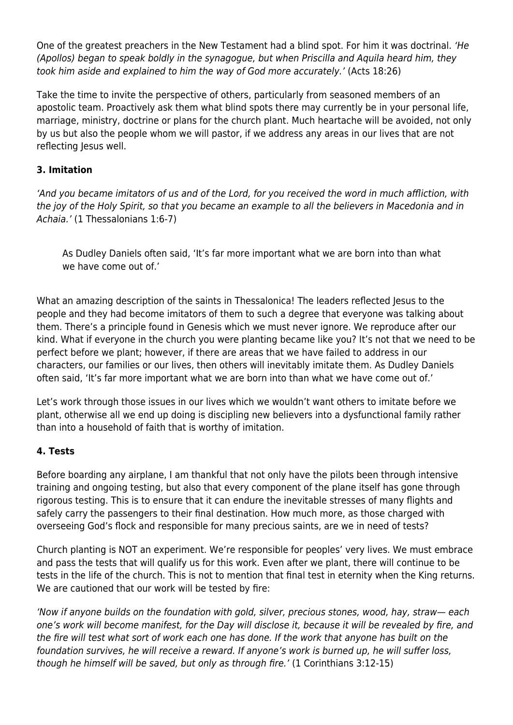One of the greatest preachers in the New Testament had a blind spot. For him it was doctrinal. 'He (Apollos) began to speak boldly in the synagogue, but when Priscilla and Aquila heard him, they took him aside and explained to him the way of God more accurately.' (Acts 18:26)

Take the time to invite the perspective of others, particularly from seasoned members of an apostolic team. Proactively ask them what blind spots there may currently be in your personal life, marriage, ministry, doctrine or plans for the church plant. Much heartache will be avoided, not only by us but also the people whom we will pastor, if we address any areas in our lives that are not reflecting Jesus well.

#### **3. Imitation**

'And you became imitators of us and of the Lord, for you received the word in much affliction, with the joy of the Holy Spirit, so that you became an example to all the believers in Macedonia and in Achaia.' (1 Thessalonians 1:6-7)

As Dudley Daniels often said, 'It's far more important what we are born into than what we have come out of.'

What an amazing description of the saints in Thessalonica! The leaders reflected Jesus to the people and they had become imitators of them to such a degree that everyone was talking about them. There's a principle found in Genesis which we must never ignore. We reproduce after our kind. What if everyone in the church you were planting became like you? It's not that we need to be perfect before we plant; however, if there are areas that we have failed to address in our characters, our families or our lives, then others will inevitably imitate them. As Dudley Daniels often said, 'It's far more important what we are born into than what we have come out of.'

Let's work through those issues in our lives which we wouldn't want others to imitate before we plant, otherwise all we end up doing is discipling new believers into a dysfunctional family rather than into a household of faith that is worthy of imitation.

#### **4. Tests**

Before boarding any airplane, I am thankful that not only have the pilots been through intensive training and ongoing testing, but also that every component of the plane itself has gone through rigorous testing. This is to ensure that it can endure the inevitable stresses of many flights and safely carry the passengers to their final destination. How much more, as those charged with overseeing God's flock and responsible for many precious saints, are we in need of tests?

Church planting is NOT an experiment. We're responsible for peoples' very lives. We must embrace and pass the tests that will qualify us for this work. Even after we plant, there will continue to be tests in the life of the church. This is not to mention that final test in eternity when the King returns. We are cautioned that our work will be tested by fire:

'Now if anyone builds on the foundation with gold, silver, precious stones, wood, hay, straw— each one's work will become manifest, for the Day will disclose it, because it will be revealed by fire, and the fire will test what sort of work each one has done. If the work that anyone has built on the foundation survives, he will receive a reward. If anyone's work is burned up, he will suffer loss, though he himself will be saved, but only as through fire.' (1 Corinthians 3:12-15)